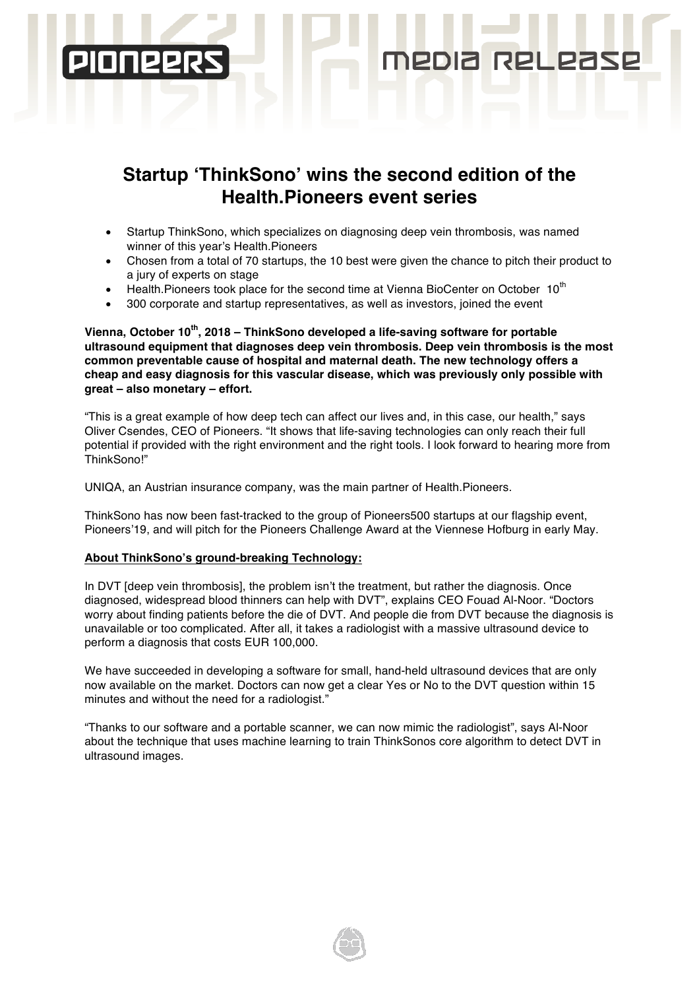# **Startup 'ThinkSono' wins the second edition of the Health.Pioneers event series**

NPDIA

**RPI** 

- Startup ThinkSono, which specializes on diagnosing deep vein thrombosis, was named winner of this year's Health.Pioneers
- Chosen from a total of 70 startups, the 10 best were given the chance to pitch their product to a jury of experts on stage
- Health.Pioneers took place for the second time at Vienna BioCenter on October 10<sup>th</sup>
- 300 corporate and startup representatives, as well as investors, joined the event

**Vienna, October 10th, 2018 – ThinkSono developed a life-saving software for portable ultrasound equipment that diagnoses deep vein thrombosis. Deep vein thrombosis is the most common preventable cause of hospital and maternal death. The new technology offers a cheap and easy diagnosis for this vascular disease, which was previously only possible with great – also monetary – effort.** 

"This is a great example of how deep tech can affect our lives and, in this case, our health," says Oliver Csendes, CEO of Pioneers. "It shows that life-saving technologies can only reach their full potential if provided with the right environment and the right tools. I look forward to hearing more from ThinkSono!"

UNIQA, an Austrian insurance company, was the main partner of Health.Pioneers.

ThinkSono has now been fast-tracked to the group of Pioneers500 startups at our flagship event, Pioneers'19, and will pitch for the Pioneers Challenge Award at the Viennese Hofburg in early May.

### **About ThinkSono's ground-breaking Technology:**

In DVT [deep vein thrombosis], the problem isn't the treatment, but rather the diagnosis. Once diagnosed, widespread blood thinners can help with DVT", explains CEO Fouad Al-Noor. "Doctors worry about finding patients before the die of DVT. And people die from DVT because the diagnosis is unavailable or too complicated. After all, it takes a radiologist with a massive ultrasound device to perform a diagnosis that costs EUR 100,000.

We have succeeded in developing a software for small, hand-held ultrasound devices that are only now available on the market. Doctors can now get a clear Yes or No to the DVT question within 15 minutes and without the need for a radiologist."

"Thanks to our software and a portable scanner, we can now mimic the radiologist", says Al-Noor about the technique that uses machine learning to train ThinkSonos core algorithm to detect DVT in ultrasound images.